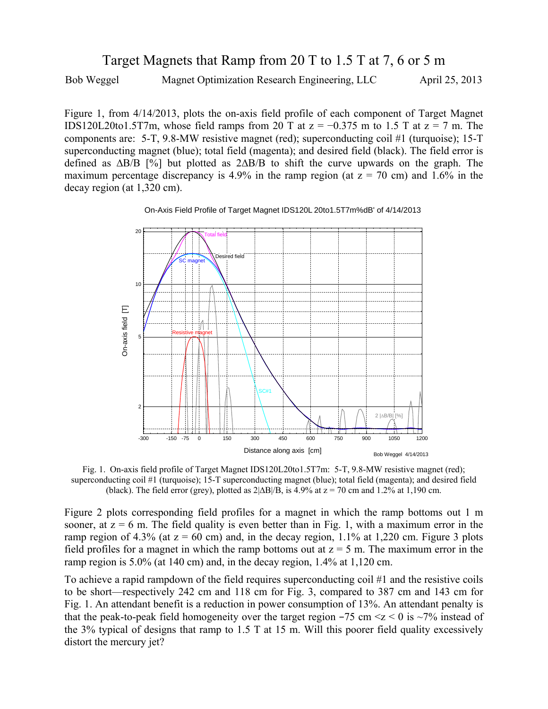## Target Magnets that Ramp from 20 T to 1.5 T at 7, 6 or 5 m

Bob Weggel Magnet Optimization Research Engineering, LLC April 25, 2013

Figure 1, from 4/14/2013, plots the on-axis field profile of each component of Target Magnet IDS120L20to1.5T7m, whose field ramps from 20 T at  $z = -0.375$  m to 1.5 T at  $z = 7$  m. The components are: 5-T, 9.8-MW resistive magnet (red); superconducting coil #1 (turquoise); 15-T superconducting magnet (blue); total field (magenta); and desired field (black). The field error is defined as ∆B/B [%] but plotted as 2∆B/B to shift the curve upwards on the graph. The maximum percentage discrepancy is 4.9% in the ramp region (at  $z = 70$  cm) and 1.6% in the decay region (at 1,320 cm).



On-Axis Field Profile of Target Magnet IDS120L 20to1.5T7m%dB' of 4/14/2013

Fig. 1. On-axis field profile of Target Magnet IDS120L20to1.5T7m: 5-T, 9.8-MW resistive magnet (red); superconducting coil #1 (turquoise); 15-T superconducting magnet (blue); total field (magenta); and desired field (black). The field error (grey), plotted as  $2|\Delta B|/B$ , is 4.9% at  $z = 70$  cm and 1.2% at 1,190 cm.

Figure 2 plots corresponding field profiles for a magnet in which the ramp bottoms out 1 m sooner, at  $z = 6$  m. The field quality is even better than in Fig. 1, with a maximum error in the ramp region of 4.3% (at  $z = 60$  cm) and, in the decay region, 1.1% at 1,220 cm. Figure 3 plots field profiles for a magnet in which the ramp bottoms out at  $z = 5$  m. The maximum error in the ramp region is 5.0% (at 140 cm) and, in the decay region, 1.4% at 1,120 cm.

To achieve a rapid rampdown of the field requires superconducting coil #1 and the resistive coils to be short—respectively 242 cm and 118 cm for Fig. 3, compared to 387 cm and 143 cm for Fig. 1. An attendant benefit is a reduction in power consumption of 13%. An attendant penalty is that the peak-to-peak field homogeneity over the target region  $-75$  cm  $\leq$   $\leq$  0 is  $\sim$ 7% instead of the 3% typical of designs that ramp to 1.5 T at 15 m. Will this poorer field quality excessively distort the mercury jet?